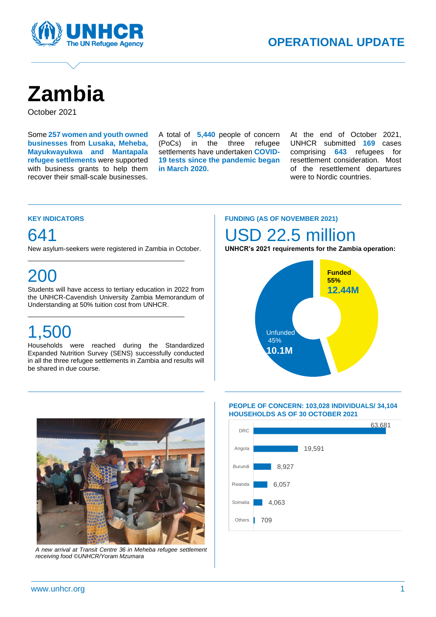

# **Zambia**

October 2021

Some **257 women and youth owned businesses** from **Lusaka, Meheba, Mayukwayukwa and Mantapala refugee settlements** were supported with business grants to help them recover their small-scale businesses.

A total of **5,440** people of concern (PoCs) in the three refugee settlements have undertaken **COVID-19 tests since the pandemic began in March 2020.**

A

At the end of October 2021, UNHCR submitted **169** cases comprising **643** refugees for resettlement consideration. Most of the resettlement departures were to Nordic countries.

#### **KEY INDICATORS**

### 641

New asylum-seekers were registered in Zambia in October.

## 200

Students will have access to tertiary education in 2022 from the UNHCR-Cavendish University Zambia Memorandum of Understanding at 50% tuition cost from UNHCR.

## 1,500

Households were reached during the Standardized Expanded Nutrition Survey (SENS) successfully conducted in all the three refugee settlements in Zambia and results will be shared in due course.

#### **FUNDING (AS OF NOVEMBER 2021)**

### USD 22.5 million

**UNHCR's 2021 requirements for the Zambia operation:**





*A new arrival at Transit Centre 36 in Meheba refugee settlement receiving food ©UNHCR/Yoram Mzumara*

#### **PEOPLE OF CONCERN: 103,028 INDIVIDUALS/ 34,104 HOUSEHOLDS AS OF 30 OCTOBER 2021**

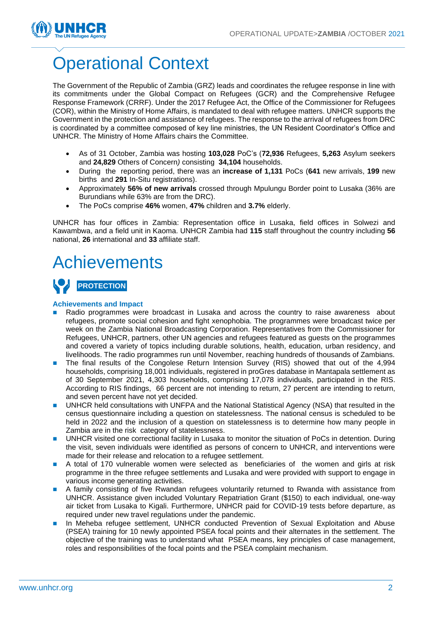

# Operational Context

The Government of the Republic of Zambia (GRZ) leads and coordinates the refugee response in line with its commitments under the Global Compact on Refugees (GCR) and the Comprehensive Refugee Response Framework (CRRF). Under the 2017 Refugee Act, the Office of the Commissioner for Refugees (COR), within the Ministry of Home Affairs, is mandated to deal with refugee matters. UNHCR supports the Government in the protection and assistance of refugees. The response to the arrival of refugees from DRC is coordinated by a committee composed of key line ministries, the UN Resident Coordinator's Office and UNHCR. The Ministry of Home Affairs chairs the Committee.

- As of 31 October, Zambia was hosting **103,028** PoC's (**72,936** Refugees, **5,263** Asylum seekers and **24,829** Others of Concern*)* consisting **34,104** households.
- During the reporting period, there was an **increase of 1,131** PoCs (**641** new arrivals, **199** new births and **291** In-Situ registrations).
- Approximately **56% of new arrivals** crossed through Mpulungu Border point to Lusaka (36% are Burundians while 63% are from the DRC).
- The PoCs comprise **46%** women, **47%** children and **3.7%** elderly.

UNHCR has four offices in Zambia: Representation office in Lusaka, field offices in Solwezi and Kawambwa, and a field unit in Kaoma. UNHCR Zambia had **115** staff throughout the country including **56** national, **26** international and **33** affiliate staff.

### **Achievements**



#### **Achievements and Impact**

- Radio programmes were broadcast in Lusaka and across the country to raise awareness about refugees, promote social cohesion and fight xenophobia. The programmes were broadcast twice per week on the Zambia National Broadcasting Corporation. Representatives from the Commissioner for Refugees, UNHCR, partners, other UN agencies and refugees featured as guests on the programmes and covered a variety of topics including durable solutions, health, education, urban residency, and livelihoods. The radio programmes run until November, reaching hundreds of thousands of Zambians.
- The final results of the Congolese Return Intension Survey (RIS) showed that out of the 4,994 households, comprising 18,001 individuals, registered in proGres database in Mantapala settlement as of 30 September 2021, 4,303 households, comprising 17,078 individuals, participated in the RIS. According to RIS findings, 66 percent are not intending to return, 27 percent are intending to return, and seven percent have not yet decided.
- UNHCR held consultations with UNFPA and the National Statistical Agency (NSA) that resulted in the census questionnaire including a question on statelessness. The national census is scheduled to be held in 2022 and the inclusion of a question on statelessness is to determine how many people in Zambia are in the risk category of statelessness.
- UNHCR visited one correctional facility in Lusaka to monitor the situation of PoCs in detention. During the visit, seven individuals were identified as persons of concern to UNHCR, and interventions were made for their release and relocation to a refugee settlement.
- A total of 170 vulnerable women were selected as beneficiaries of the women and girls at risk programme in the three refugee settlements and Lusaka and were provided with support to engage in various income generating activities.
- A family consisting of five Rwandan refugees voluntarily returned to Rwanda with assistance from UNHCR. Assistance given included Voluntary Repatriation Grant (\$150) to each individual, one-way air ticket from Lusaka to Kigali. Furthermore, UNHCR paid for COVID-19 tests before departure, as required under new travel regulations under the pandemic.
- In Meheba refugee settlement, UNHCR conducted Prevention of Sexual Exploitation and Abuse (PSEA) training for 10 newly appointed PSEA focal points and their alternates in the settlement. The objective of the training was to understand what PSEA means, key principles of case management, roles and responsibilities of the focal points and the PSEA complaint mechanism.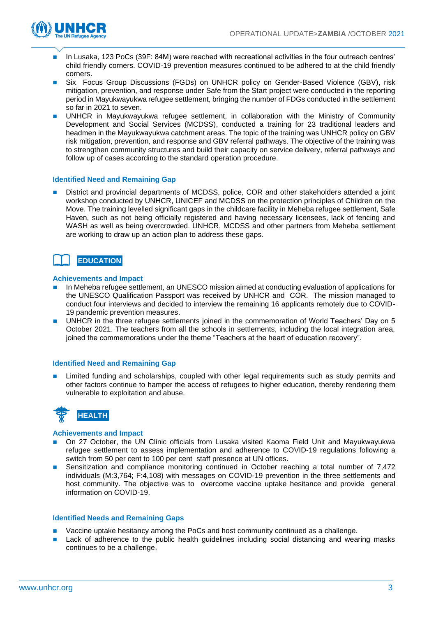

- In Lusaka, 123 PoCs (39F: 84M) were reached with recreational activities in the four outreach centres' child friendly corners. COVID-19 prevention measures continued to be adhered to at the child friendly corners.
- Six Focus Group Discussions (FGDs) on UNHCR policy on Gender-Based Violence (GBV), risk mitigation, prevention, and response under Safe from the Start project were conducted in the reporting period in Mayukwayukwa refugee settlement, bringing the number of FDGs conducted in the settlement so far in 2021 to seven.
- UNHCR in Mayukwayukwa refugee settlement, in collaboration with the Ministry of Community Development and Social Services (MCDSS), conducted a training for 23 traditional leaders and headmen in the Mayukwayukwa catchment areas. The topic of the training was UNHCR policy on GBV risk mitigation, prevention, and response and GBV referral pathways. The objective of the training was to strengthen community structures and build their capacity on service delivery, referral pathways and follow up of cases according to the standard operation procedure.

#### **Identified Need and Remaining Gap**

District and provincial departments of MCDSS, police, COR and other stakeholders attended a joint workshop conducted by UNHCR, UNICEF and MCDSS on the protection principles of Children on the Move. The training levelled significant gaps in the childcare facility in Meheba refugee settlement, Safe Haven, such as not being officially registered and having necessary licensees, lack of fencing and WASH as well as being overcrowded. UNHCR, MCDSS and other partners from Meheba settlement are working to draw up an action plan to address these gaps.



#### **Achievements and Impact**

- In Meheba refugee settlement, an UNESCO mission aimed at conducting evaluation of applications for the UNESCO Qualification Passport was received by UNHCR and COR. The mission managed to conduct four interviews and decided to interview the remaining 16 applicants remotely due to COVID-19 pandemic prevention measures.
- UNHCR in the three refugee settlements joined in the commemoration of World Teachers' Day on 5 October 2021. The teachers from all the schools in settlements, including the local integration area, joined the commemorations under the theme "Teachers at the heart of education recovery".

#### **Identified Need and Remaining Gap**

Limited funding and scholarships, coupled with other legal requirements such as study permits and other factors continue to hamper the access of refugees to higher education, thereby rendering them vulnerable to exploitation and abuse.



#### **Achievements and Impact**

- ◼ On 27 October, the UN Clinic officials from Lusaka visited Kaoma Field Unit and Mayukwayukwa refugee settlement to assess implementation and adherence to COVID-19 regulations following a switch from 50 per cent to 100 per cent staff presence at UN offices.
- Sensitization and compliance monitoring continued in October reaching a total number of 7,472 individuals (M:3,764; F:4,108) with messages on COVID-19 prevention in the three settlements and host community. The objective was to overcome vaccine uptake hesitance and provide general information on COVID-19.

#### **Identified Needs and Remaining Gaps**

- Vaccine uptake hesitancy among the PoCs and host community continued as a challenge.
- Lack of adherence to the public health quidelines including social distancing and wearing masks continues to be a challenge.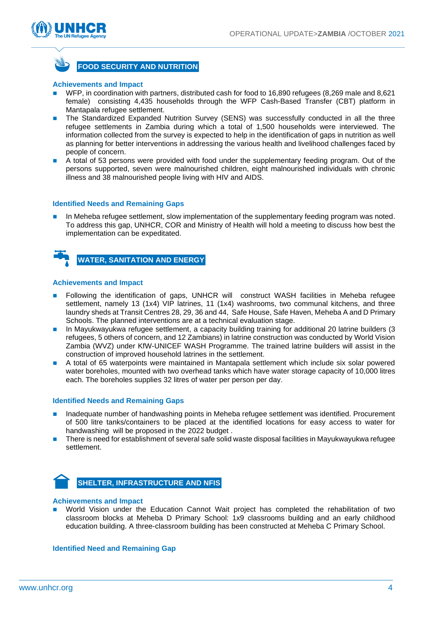



#### **Achievements and Impact**

- WFP, in coordination with partners, distributed cash for food to 16,890 refugees (8,269 male and 8,621 female) consisting 4,435 households through the WFP Cash-Based Transfer (CBT) platform in Mantapala refugee settlement.
- The Standardized Expanded Nutrition Survey (SENS) was successfully conducted in all the three refugee settlements in Zambia during which a total of 1,500 households were interviewed. The information collected from the survey is expected to help in the identification of gaps in nutrition as well as planning for better interventions in addressing the various health and livelihood challenges faced by people of concern.
- A total of 53 persons were provided with food under the supplementary feeding program. Out of the persons supported, seven were malnourished children, eight malnourished individuals with chronic illness and 38 malnourished people living with HIV and AIDS.

#### **Identified Needs and Remaining Gaps**

In Meheba refugee settlement, slow implementation of the supplementary feeding program was noted. To address this gap, UNHCR, COR and Ministry of Health will hold a meeting to discuss how best the implementation can be expeditated.



#### **Achievements and Impact**

- Following the identification of gaps, UNHCR will construct WASH facilities in Meheba refugee settlement, namely 13 (1x4) VIP latrines, 11 (1x4) washrooms, two communal kitchens, and three laundry sheds at Transit Centres 28, 29, 36 and 44, Safe House, Safe Haven, Meheba A and D Primary Schools. The planned interventions are at a technical evaluation stage.
- In Mayukwayukwa refugee settlement, a capacity building training for additional 20 latrine builders (3 refugees, 5 others of concern, and 12 Zambians) in latrine construction was conducted by World Vision Zambia (WVZ) under KfW-UNICEF WASH Programme. The trained latrine builders will assist in the construction of improved household latrines in the settlement.
- A total of 65 waterpoints were maintained in Mantapala settlement which include six solar powered water boreholes, mounted with two overhead tanks which have water storage capacity of 10,000 litres each. The boreholes supplies 32 litres of water per person per day.

#### **Identified Needs and Remaining Gaps**

- Inadequate number of handwashing points in Meheba refugee settlement was identified. Procurement of 500 litre tanks/containers to be placed at the identified locations for easy access to water for handwashing will be proposed in the 2022 budget .
- There is need for establishment of several safe solid waste disposal facilities in Mayukwayukwa refugee settlement.



**SHELTER, INFRASTRUCTURE AND NFIS**

#### **Achievements and Impact**

World Vision under the Education Cannot Wait project has completed the rehabilitation of two classroom blocks at Meheba D Primary School: 1x9 classrooms building and an early childhood education building. A three-classroom building has been constructed at Meheba C Primary School.

#### **Identified Need and Remaining Gap**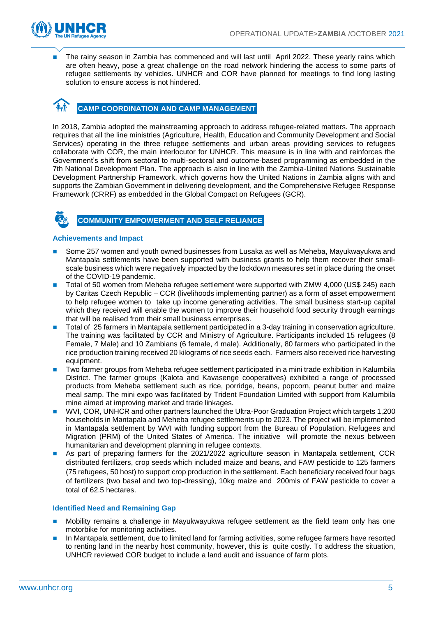

The rainy season in Zambia has commenced and will last until April 2022. These yearly rains which are often heavy, pose a great challenge on the road network hindering the access to some parts of refugee settlements by vehicles. UNHCR and COR have planned for meetings to find long lasting solution to ensure access is not hindered.

### **CAMP COORDINATION AND CAMP MANAGEMENT**

In 2018, Zambia adopted the mainstreaming approach to address refugee-related matters. The approach requires that all the line ministries (Agriculture, Health, Education and Community Development and Social Services) operating in the three refugee settlements and urban areas providing services to refugees collaborate with COR, the main interlocutor for UNHCR. This measure is in line with and reinforces the Government's shift from sectoral to multi-sectoral and outcome-based programming as embedded in the 7th National Development Plan. The approach is also in line with the Zambia-United Nations Sustainable Development Partnership Framework, which governs how the United Nations in Zambia aligns with and supports the Zambian Government in delivering development, and the Comprehensive Refugee Response Framework (CRRF) as embedded in the Global Compact on Refugees (GCR).



#### **COMMUNITY EMPOWERMENT AND SELF RELIANCE**

#### **Achievements and Impact**

- Some 257 women and youth owned businesses from Lusaka as well as Meheba, Mayukwayukwa and Mantapala settlements have been supported with business grants to help them recover their smallscale business which were negatively impacted by the lockdown measures set in place during the onset of the COVID-19 pandemic.
- Total of 50 women from Meheba refugee settlement were supported with ZMW 4,000 (US\$ 245) each by Caritas Czech Republic – CCR (livelihoods implementing partner) as a form of asset empowerment to help refugee women to take up income generating activities. The small business start-up capital which they received will enable the women to improve their household food security through earnings that will be realised from their small business enterprises.
- ◼ Total of 25 farmers in Mantapala settlement participated in a 3-day training in conservation agriculture. The training was facilitated by CCR and Ministry of Agriculture. Participants included 15 refugees (8 Female, 7 Male) and 10 Zambians (6 female, 4 male). Additionally, 80 farmers who participated in the rice production training received 20 kilograms of rice seeds each. Farmers also received rice harvesting equipment.
- ◼ Two farmer groups from Meheba refugee settlement participated in a mini trade exhibition in Kalumbila District. The farmer groups (Kalota and Kavasenge cooperatives) exhibited a range of processed products from Meheba settlement such as rice, porridge, beans, popcorn, peanut butter and maize meal samp. The mini expo was facilitated by Trident Foundation Limited with support from Kalumbila mine aimed at improving market and trade linkages.
- WVI, COR, UNHCR and other partners launched the Ultra-Poor Graduation Project which targets 1,200 households in Mantapala and Meheba refugee settlements up to 2023. The project will be implemented in Mantapala settlement by WVI with funding support from the Bureau of Population, Refugees and Migration (PRM) of the United States of America. The initiative will promote the nexus between humanitarian and development planning in refugee contexts.
- As part of preparing farmers for the 2021/2022 agriculture season in Mantapala settlement, CCR distributed fertilizers, crop seeds which included maize and beans, and FAW pesticide to 125 farmers (75 refugees, 50 host) to support crop production in the settlement. Each beneficiary received four bags of fertilizers (two basal and two top-dressing), 10kg maize and 200mls of FAW pesticide to cover a total of 62.5 hectares.

#### **Identified Need and Remaining Gap**

- ◼ Mobility remains a challenge in Mayukwayukwa refugee settlement as the field team only has one motorbike for monitoring activities.
- In Mantapala settlement, due to limited land for farming activities, some refugee farmers have resorted to renting land in the nearby host community, however, this is quite costly. To address the situation, UNHCR reviewed COR budget to include a land audit and issuance of farm plots.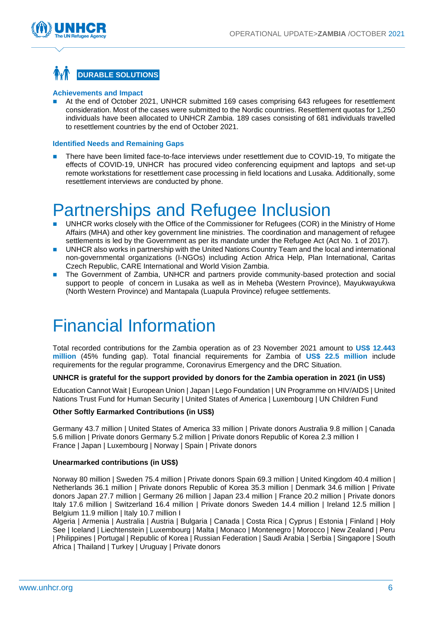

### **DURABLE SOLUTIONS**

#### **Achievements and Impact**

At the end of October 2021, UNHCR submitted 169 cases comprising 643 refugees for resettlement consideration. Most of the cases were submitted to the Nordic countries. Resettlement quotas for 1,250 individuals have been allocated to UNHCR Zambia. 189 cases consisting of 681 individuals travelled to resettlement countries by the end of October 2021.

#### **Identified Needs and Remaining Gaps**

There have been limited face-to-face interviews under resettlement due to COVID-19, To mitigate the effects of COVID-19, UNHCR has procured video conferencing equipment and laptops and set-up remote workstations for resettlement case processing in field locations and Lusaka. Additionally, some resettlement interviews are conducted by phone.

## Partnerships and Refugee Inclusion

- UNHCR works closely with the Office of the Commissioner for Refugees (COR) in the Ministry of Home Affairs (MHA) and other key government line ministries. The coordination and management of refugee settlements is led by the Government as per its mandate under the Refugee Act (Act No. 1 of 2017).
- UNHCR also works in partnership with the United Nations Country Team and the local and international non-governmental organizations (I-NGOs) including Action Africa Help, Plan International, Caritas Czech Republic, CARE International and World Vision Zambia.
- The Government of Zambia, UNHCR and partners provide community-based protection and social support to people of concern in Lusaka as well as in Meheba (Western Province), Mayukwayukwa (North Western Province) and Mantapala (Luapula Province) refugee settlements.

## Financial Information

Total recorded contributions for the Zambia operation as of 23 November 2021 amount to **US\$ 12.443 million** (45% funding gap). Total financial requirements for Zambia of **US\$ 22.5 million** include requirements for the regular programme, Coronavirus Emergency and the DRC Situation.

#### **UNHCR is grateful for the support provided by donors for the Zambia operation in 2021 (in US\$)**

Education Cannot Wait | European Union | Japan | Lego Foundation | UN Programme on HIV/AIDS | United Nations Trust Fund for Human Security | United States of America | Luxembourg | UN Children Fund

#### **Other Softly Earmarked Contributions (in US\$)**

Germany 43.7 million | United States of America 33 million | Private donors Australia 9.8 million | Canada 5.6 million | Private donors Germany 5.2 million | Private donors Republic of Korea 2.3 million I France | Japan | Luxembourg | Norway | Spain | Private donors

#### **Unearmarked contributions (in US\$)**

Norway 80 million | Sweden 75.4 million | Private donors Spain 69.3 million | United Kingdom 40.4 million | Netherlands 36.1 million | Private donors Republic of Korea 35.3 million | Denmark 34.6 million | Private donors Japan 27.7 million | Germany 26 million | Japan 23.4 million | France 20.2 million | Private donors Italy 17.6 million | Switzerland 16.4 million | Private donors Sweden 14.4 million | Ireland 12.5 million | Belgium 11.9 million | Italy 10.7 million I

Algeria | Armenia | Australia | Austria | Bulgaria | Canada | Costa Rica | Cyprus | Estonia | Finland | Holy See | Iceland | Liechtenstein | Luxembourg | Malta | Monaco | Montenegro | Morocco | New Zealand | Peru | Philippines | Portugal | Republic of Korea | Russian Federation | Saudi Arabia | Serbia | Singapore | South Africa | Thailand | Turkey | Uruguay | Private donors